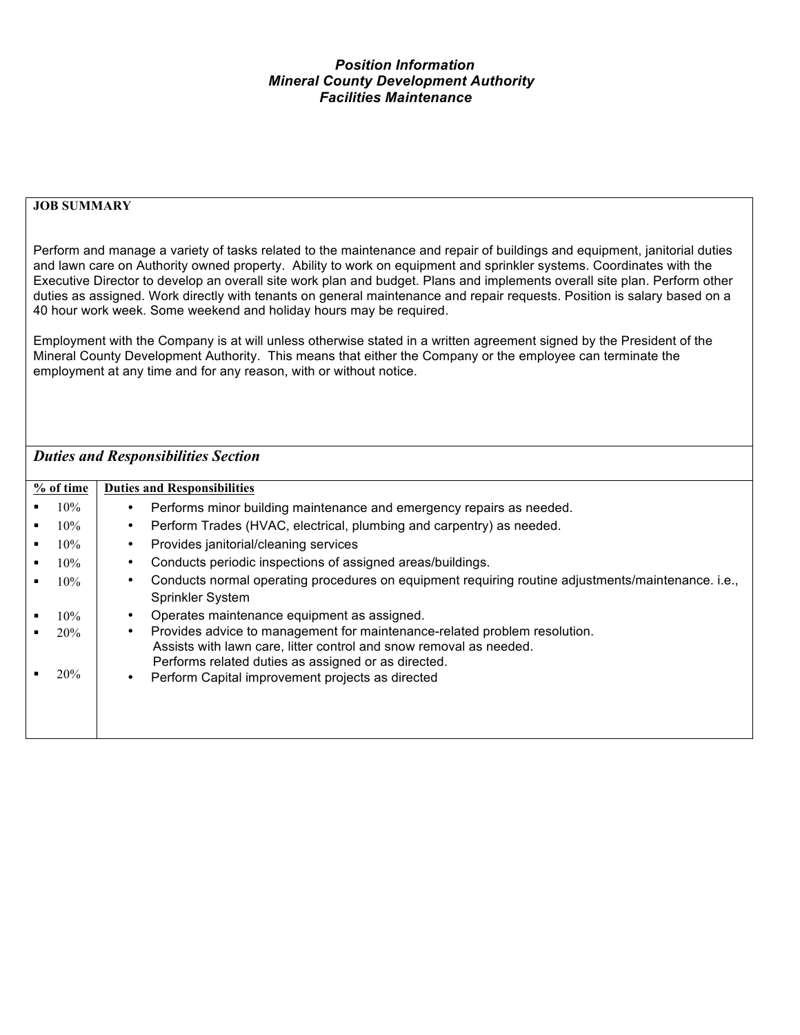## *Position Information Mineral County Development Authority Facilities Maintenance*

## **JOB SUMMARY**

Perform and manage a variety of tasks related to the maintenance and repair of buildings and equipment, janitorial duties and lawn care on Authority owned property. Ability to work on equipment and sprinkler systems. Coordinates with the Executive Director to develop an overall site work plan and budget. Plans and implements overall site plan. Perform other duties as assigned. Work directly with tenants on general maintenance and repair requests. Position is salary based on a 40 hour work week. Some weekend and holiday hours may be required.

Employment with the Company is at will unless otherwise stated in a written agreement signed by the President of the Mineral County Development Authority. This means that either the Company or the employee can terminate the employment at any time and for any reason, with or without notice.

## *Duties and Responsibilities Section*

| % of time |        | <b>Duties and Responsibilities</b> |                                                                                                         |  |  |
|-----------|--------|------------------------------------|---------------------------------------------------------------------------------------------------------|--|--|
|           | 10%    |                                    | Performs minor building maintenance and emergency repairs as needed.                                    |  |  |
|           | $10\%$ | $\bullet$                          | Perform Trades (HVAC, electrical, plumbing and carpentry) as needed.                                    |  |  |
|           | 10%    |                                    | Provides janitorial/cleaning services                                                                   |  |  |
|           | 10%    |                                    | Conducts periodic inspections of assigned areas/buildings.                                              |  |  |
|           | 10%    |                                    | Conducts normal operating procedures on equipment requiring routine adjustments/maintenance. i.e.,      |  |  |
|           |        |                                    | <b>Sprinkler System</b>                                                                                 |  |  |
|           | 10%    |                                    | Operates maintenance equipment as assigned.                                                             |  |  |
|           | 20%    | $\bullet$                          | Provides advice to management for maintenance-related problem resolution.                               |  |  |
|           |        |                                    | Assists with lawn care, litter control and snow removal as needed.                                      |  |  |
|           | 20%    | $\bullet$                          | Performs related duties as assigned or as directed.<br>Perform Capital improvement projects as directed |  |  |
|           |        |                                    |                                                                                                         |  |  |
|           |        |                                    |                                                                                                         |  |  |
|           |        |                                    |                                                                                                         |  |  |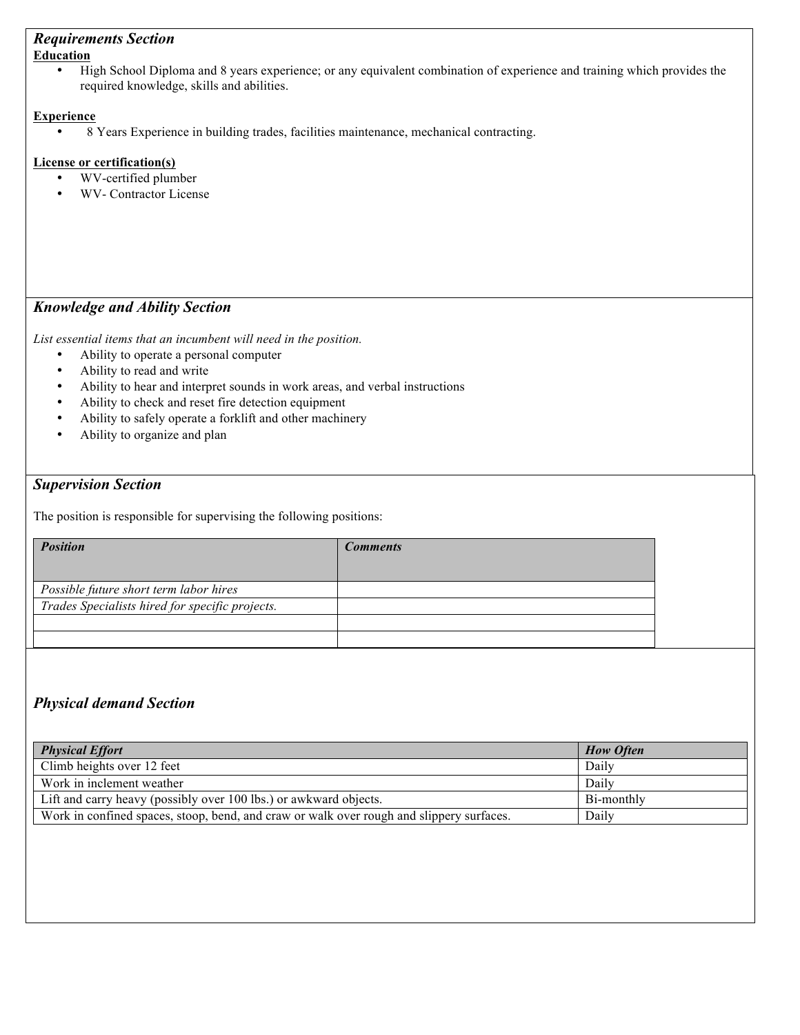# *Requirements Section*

#### **Education**

• High School Diploma and 8 years experience; or any equivalent combination of experience and training which provides the required knowledge, skills and abilities.

### **Experience**

• 8 Years Experience in building trades, facilities maintenance, mechanical contracting.

### **License or certification(s)**

- WV-certified plumber
- WV- Contractor License

## *Knowledge and Ability Section*

*List essential items that an incumbent will need in the position.* 

- Ability to operate a personal computer<br>• Ability to read and write
- Ability to read and write
- Ability to hear and interpret sounds in work areas, and verbal instructions<br>• Ability to check and reset fire detection equipment
- Ability to check and reset fire detection equipment<br>• Ability to safely operate a forklift and other machine
- Ability to safely operate a forklift and other machinery
- Ability to organize and plan

## *Supervision Section*

The position is responsible for supervising the following positions:

| <b>Position</b>                                 | <b>Comments</b> |
|-------------------------------------------------|-----------------|
|                                                 |                 |
| Possible future short term labor hires          |                 |
| Trades Specialists hired for specific projects. |                 |
|                                                 |                 |
|                                                 |                 |

## *Physical demand Section*

| <b>Physical Effort</b>                                                                   | <b>How Often</b> |
|------------------------------------------------------------------------------------------|------------------|
| Climb heights over 12 feet                                                               | Daily            |
| Work in inclement weather                                                                | Daily            |
| Lift and carry heavy (possibly over 100 lbs.) or awkward objects.                        | Bi-monthly       |
| Work in confined spaces, stoop, bend, and craw or walk over rough and slippery surfaces. | Daily            |